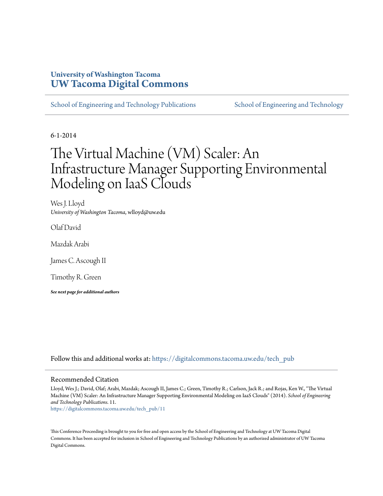### **University of Washington Tacoma [UW Tacoma Digital Commons](https://digitalcommons.tacoma.uw.edu?utm_source=digitalcommons.tacoma.uw.edu%2Ftech_pub%2F11&utm_medium=PDF&utm_campaign=PDFCoverPages)**

[School of Engineering and Technology Publications](https://digitalcommons.tacoma.uw.edu/tech_pub?utm_source=digitalcommons.tacoma.uw.edu%2Ftech_pub%2F11&utm_medium=PDF&utm_campaign=PDFCoverPages) [School of Engineering and Technology](https://digitalcommons.tacoma.uw.edu/institute_tech?utm_source=digitalcommons.tacoma.uw.edu%2Ftech_pub%2F11&utm_medium=PDF&utm_campaign=PDFCoverPages)

6-1-2014

# The Virtual Machine (VM) Scaler: An Infrastructure Manager Supporting Environmental Modeling on IaaS Clouds

Wes J. Lloyd *University of Washington Tacoma*, wlloyd@uw.edu

Olaf David

Mazdak Arabi

James C. Ascough II

Timothy R. Green

*See next page for additional authors*

Follow this and additional works at: [https://digitalcommons.tacoma.uw.edu/tech\\_pub](https://digitalcommons.tacoma.uw.edu/tech_pub?utm_source=digitalcommons.tacoma.uw.edu%2Ftech_pub%2F11&utm_medium=PDF&utm_campaign=PDFCoverPages)

#### Recommended Citation

Lloyd, Wes J.; David, Olaf; Arabi, Mazdak; Ascough II, James C.; Green, Timothy R.; Carlson, Jack R.; and Rojas, Ken W., "The Virtual Machine (VM) Scaler: An Infrastructure Manager Supporting Environmental Modeling on IaaS Clouds" (2014). *School of Engineering and Technology Publications*. 11.

[https://digitalcommons.tacoma.uw.edu/tech\\_pub/11](https://digitalcommons.tacoma.uw.edu/tech_pub/11?utm_source=digitalcommons.tacoma.uw.edu%2Ftech_pub%2F11&utm_medium=PDF&utm_campaign=PDFCoverPages)

This Conference Proceeding is brought to you for free and open access by the School of Engineering and Technology at UW Tacoma Digital Commons. It has been accepted for inclusion in School of Engineering and Technology Publications by an authorized administrator of UW Tacoma Digital Commons.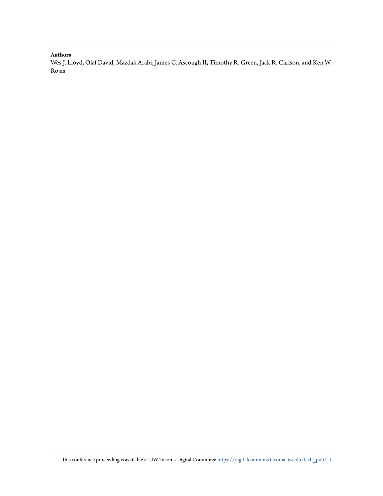#### **Authors**

Wes J. Lloyd, Olaf David, Mazdak Arabi, James C. Ascough II, Timothy R. Green, Jack R. Carlson, and Ken W. Rojas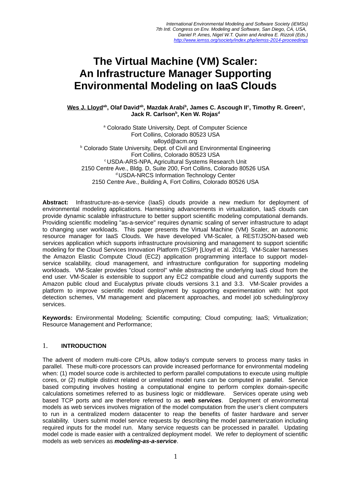## **The Virtual Machine (VM) Scaler: An Infrastructure Manager Supporting Environmental Modeling on IaaS Clouds**

**Wes J. Lloydab, Olaf Davidab, Mazdak Arabi<sup>b</sup> , James C. Ascough II<sup>c</sup> , Timothy R. Green<sup>c</sup> , Jack R. Carlson<sup>b</sup> , Ken W. Rojas<sup>d</sup>**

a Colorado State University, Dept. of Computer Science Fort Collins, Colorado 80523 USA wlloyd@acm.org **b Colorado State University, Dept. of Civil and Environmental Engineering** Fort Collins, Colorado 80523 USA <sup>c</sup>USDA-ARS-NPA, Agricultural Systems Research Unit 2150 Centre Ave., Bldg. D, Suite 200, Fort Collins, Colorado 80526 USA <sup>d</sup>USDA-NRCS Information Technology Center 2150 Centre Ave., Building A, Fort Collins, Colorado 80526 USA

**Abstract:** Infrastructure-as-a-service (IaaS) clouds provide a new medium for deployment of environmental modeling applications. Harnessing advancements in virtualization, IaaS clouds can provide dynamic scalable infrastructure to better support scientific modeling computational demands. Providing scientific modeling "as-a-service" requires dynamic scaling of server infrastructure to adapt to changing user workloads. This paper presents the Virtual Machine (VM) Scaler, an autonomic resource manager for IaaS Clouds. We have developed VM-Scaler, a REST/JSON-based web services application which supports infrastructure provisioning and management to support scientific modeling for the Cloud Services Innovation Platform (CSIP) [Lloyd et al. 2012]. VM-Scaler harnesses the Amazon Elastic Compute Cloud (EC2) application programming interface to support modelservice scalability, cloud management, and infrastructure configuration for supporting modeling workloads. VM-Scaler provides "cloud control" while abstracting the underlying IaaS cloud from the end user. VM-Scaler is extensible to support any EC2 compatible cloud and currently supports the Amazon public cloud and Eucalyptus private clouds versions 3.1 and 3.3. VM-Scaler provides a platform to improve scientific model deployment by supporting experimentation with: hot spot detection schemes, VM management and placement approaches, and model job scheduling/proxy services.

**Keywords:** Environmental Modeling; Scientific computing; Cloud computing; IaaS; Virtualization; Resource Management and Performance;

#### 1. **INTRODUCTION**

The advent of modern multi-core CPUs, allow today's compute servers to process many tasks in parallel. These multi-core processors can provide increased performance for environmental modeling when: (1) model source code is architected to perform parallel computations to execute using multiple cores, or (2) multiple distinct related or unrelated model runs can be computed in parallel. Service based computing involves hosting a computational engine to perform complex domain-specific calculations sometimes referred to as business logic or middleware. Services operate using web based TCP ports and are therefore referred to as *web services*. Deployment of environmental models as web services involves migration of the model computation from the user's client computers to run in a centralized modern datacenter to reap the benefits of faster hardware and server scalability. Users submit model service requests by describing the model parameterization including required inputs for the model run. Many service requests can be processed in parallel. Updating model code is made easier with a centralized deployment model. We refer to deployment of scientific models as web services as *modeling-as-a-service*.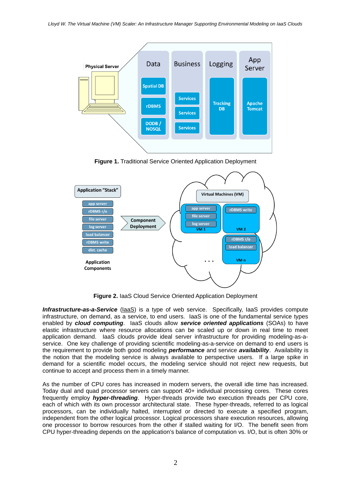

**Figure 1.** Traditional Service Oriented Application Deployment



**Figure 2.** IaaS Cloud Service Oriented Application Deployment

*Infrastructure-as-a-Service* (laaS) is a type of web service. Specifically, laaS provides compute infrastructure, on demand, as a service, to end users. IaaS is one of the fundamental service types enabled by *cloud computing*. IaaS clouds allow *service oriented applications* (SOAs) to have elastic infrastructure where resource allocations can be scaled up or down in real time to meet application demand. IaaS clouds provide ideal server infrastructure for providing modeling-as-aservice. One key challenge of providing scientific modeling-as-a-service on demand to end users is the requirement to provide both good modeling *performance* and service *availability*. Availability is the notion that the modeling service is always available to perspective users. If a large spike in demand for a scientific model occurs, the modeling service should not reject new requests, but continue to accept and process them in a timely manner.

As the number of CPU cores has increased in modern servers, the overall idle time has increased. Today dual and quad processor servers can support 40+ individual processing cores. These cores frequently employ *hyper-threading*. Hyper-threads provide two execution threads per CPU core, each of which with its own processor architectural state. These hyper-threads, referred to as logical processors, can be individually halted, interrupted or directed to execute a specified program, independent from the other logical processor. Logical processors share execution resources, allowing one processor to borrow resources from the other if stalled waiting for I/O. The benefit seen from CPU hyper-threading depends on the application's balance of computation vs. I/O, but is often 30% or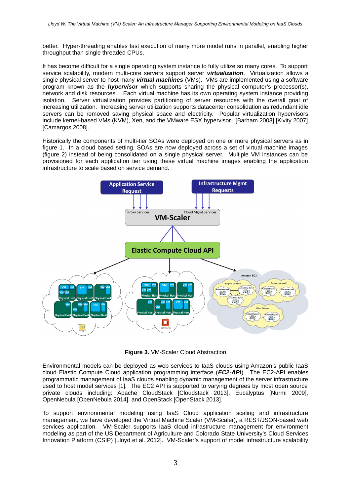better. Hyper-threading enables fast execution of many more model runs in parallel, enabling higher throughput than single threaded CPUs.

It has become difficult for a single operating system instance to fully utilize so many cores. To support service scalability, modern multi-core servers support server *virtualization*. Virtualization allows a single physical server to host many *virtual machines* (VMs). VMs are implemented using a software program known as the *hypervisor* which supports sharing the physical computer's processor(s), network and disk resources. Each virtual machine has its own operating system instance providing isolation. Server virtualization provides partitioning of server resources with the overall goal of increasing utilization. Increasing server utilization supports datacenter consolidation as redundant idle servers can be removed saving physical space and electricity. Popular virtualization hypervisors include kernel-based VMs (KVM), Xen, and the VMware ESX hypervisor. [Barham 2003] [Kivity 2007] [Camargos 2008].

Historically the components of multi-tier SOAs were deployed on one or more physical servers as in figure 1. In a cloud based setting, SOAs are now deployed across a set of virtual machine images (figure 2) instead of being consolidated on a single physical server. Multiple VM instances can be provisioned for each application tier using these virtual machine images enabling the application infrastructure to scale based on service demand.



**Figure 3.** VM-Scaler Cloud Abstraction

Environmental models can be deployed as web services to IaaS clouds using Amazon's public IaaS cloud Elastic Compute Cloud application programming interface (*EC2-API.*). The EC2-API enables programmatic management of IaaS clouds enabling dynamic management of the server infrastructure used to host model services [1]. The EC2 API is supported to varying degrees by most open source private clouds including: Apache CloudStack [Cloudstack 2013], Eucalyptus [Nurmi 2009], OpenNebula [OpenNebula 2014], and OpenStack [OpenStack 2013].

To support environmental modeling using IaaS Cloud application scaling and infrastructure management, we have developed the Virtual Machine Scaler (VM-Scaler), a REST/JSON-based web services application. VM-Scaler supports IaaS cloud infrastructure management for environment modeling as part of the US Department of Agriculture and Colorado State University's Cloud Services Innovation Platform (CSIP) [Lloyd et al. 2012]. VM-Scaler's support of model infrastructure scalability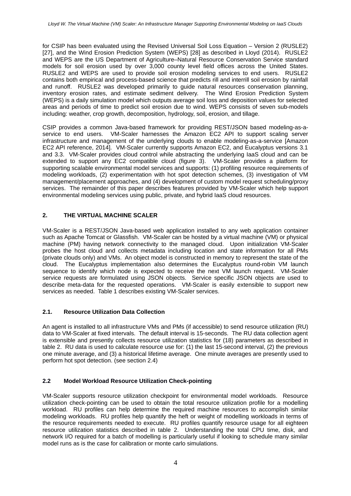for CSIP has been evaluated using the Revised Universal Soil Loss Equation – Version 2 (RUSLE2) [27], and the Wind Erosion Prediction System (WEPS) [28] as described in Lloyd (2014). RUSLE2 and WEPS are the US Department of Agriculture–Natural Resource Conservation Service standard models for soil erosion used by over 3,000 county level field offices across the United States. RUSLE2 and WEPS are used to provide soil erosion modeling services to end users. RUSLE2 contains both empirical and process-based science that predicts rill and interrill soil erosion by rainfall and runoff. RUSLE2 was developed primarily to guide natural resources conservation planning, inventory erosion rates, and estimate sediment delivery. The Wind Erosion Prediction System (WEPS) is a daily simulation model which outputs average soil loss and deposition values for selected areas and periods of time to predict soil erosion due to wind. WEPS consists of seven sub-models including: weather, crop growth, decomposition, hydrology, soil, erosion, and tillage.

CSIP provides a common Java-based framework for providing REST/JSON based modeling-as-aservice to end users. VM-Scaler harnesses the Amazon EC2 API to support scaling server infrastructure and management of the underlying clouds to enable modeling-as-a-service [Amazon EC2 API reference, 2014]. VM-Scaler currently supports Amazon EC2, and Eucalyptus versions 3.1 and 3.3. VM-Scaler provides cloud control while abstracting the underlying IaaS cloud and can be extended to support any EC2 compatible cloud (figure 3). VM-Scaler provides a platform for supporting scalable environmental model services and supports: (1) profiling resource requirements of modeling workloads, (2) experimentation with hot spot detection schemes, (3) investigation of VM management/placement approaches, and (4) development of custom model request scheduling/proxy services. The remainder of this paper describes features provided by VM-Scaler which help support environmental modeling services using public, private, and hybrid IaaS cloud resources.

#### **2. THE VIRTUAL MACHINE SCALER**

VM-Scaler is a REST/JSON Java-based web application installed to any web application container such as Apache Tomcat or Glassfish. VM-Scaler can be hosted by a virtual machine (VM) or physical machine (PM) having network connectivity to the managed cloud. Upon initialization VM-Scaler probes the host cloud and collects metadata including location and state information for all PMs (private clouds only) and VMs. An object model is constructed in memory to represent the state of the cloud. The Eucalyptus implementation also determines the Eucalyptus round-robin VM launch sequence to identify which node is expected to receive the next VM launch request. VM-Scaler service requests are formulated using JSON objects. Service specific JSON objects are used to describe meta-data for the requested operations. VM-Scaler is easily extensible to support new services as needed. Table 1 describes existing VM-Scaler services.

#### **2.1. Resource Utilization Data Collection**

An agent is installed to all infrastructure VMs and PMs (if accessible) to send resource utilization (RU) data to VM-Scaler at fixed intervals. The default interval is 15-seconds. The RU data collection agent is extensible and presently collects resource utilization statistics for (18) parameters as described in table 2. RU data is used to calculate resource use for: (1) the last 15-second interval, (2) the previous one minute average, and (3) a historical lifetime average. One minute averages are presently used to perform hot spot detection. (see section 2.4)

#### **2.2 Model Workload Resource Utilization Check-pointing**

VM-Scaler supports resource utilization checkpoint for environmental model workloads. Resource utilization check-pointing can be used to obtain the total resource utilization profile for a modelling workload. RU profiles can help determine the required machine resources to accomplish similar modeling workloads. RU profiles help quantify the heft or weight of modelling workloads in terms of the resource requirements needed to execute. RU profiles quantify resource usage for all eighteen resource utilization statistics described in table 2. Understanding the total CPU time, disk, and network I/O required for a batch of modelling is particularly useful if looking to schedule many similar model runs as is the case for calibration or monte carlo simulations.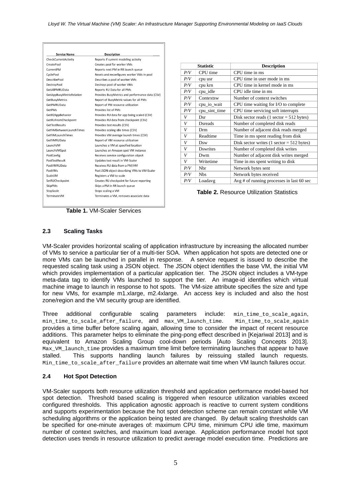| <b>Service Name</b>             | <b>Description</b>                              |
|---------------------------------|-------------------------------------------------|
| CheckCurrentActivity            | Reports if current modeling activity            |
| CreatePool                      | Creates pool for worker VMs                     |
| CurrentPM                       | Reports next PM in RR launch queue              |
| CyclePool                       | Resets and reconfigures worker VMs in pool      |
| <b>DescribePool</b>             | Describes a pool of worker VMs                  |
| DestroyPool                     | Destroys pool of worker VMs                     |
| GetAllPMRUData                  | Reports RU Data for all PMs                     |
| <b>GetAppBusyMetricRelation</b> | Provides BusyMetrics and performance data (CSV) |
| <b>GetBusyMetrics</b>           | Report of BusyMetric values for all PMs         |
| GetPMRUData                     | Report of PM resource utilization               |
| GetPMs                          | Provides list of PMs                            |
| GetR2AppBehavior                | Provides RU data for app being scaled (CSV)     |
| GetRUFromCheckpoint             | Provides RU data from checkpoint (CSV)          |
| <b>GetTestResults</b>           | Provides test results (CSV)                     |
| <b>GetVMBetweenLaunchTimes</b>  | Provides scaling idle times (CSV)               |
| GetVMLaunchTimes                | Provides VM average launch times (CSV)          |
| GetVMRUData                     | Report of VM resource utilization               |
| LaunchVM                        | Launches a VM at specified location             |
| LaunchVMSpot                    | Launches an Amazon spot VM instance             |
| PostConfig                      | Receives service configuration object           |
| PostTestResult                  | Updates test result in VM-Scaler                |
| PostVMRUData                    | Receives RU data from a PM/VM                   |
| PostVMs                         | Post JSON object describing VMs to VM-Scaler    |
| ScaleVM                         | Registers a VM to scale                         |
| SetRUCheckpoint                 | Creates RU checkpoint for future reporting      |
| SkipPMs                         | Skips a PM in RR launch queue                   |
| StopScale                       | Stops scaling a VM                              |
| TerminateVM                     | Terminates a VM, removes associate data         |

|     | <b>Statistic</b> | <b>Description</b>                                          |
|-----|------------------|-------------------------------------------------------------|
| P/V | CPU time         | CPU time in ms                                              |
| P/V | cpu usr          | CPU time in user mode in ms                                 |
| P/V | cpu krn          | CPU time in kernel mode in ms                               |
| P/V | cpu_idle         | CPU idle time in ms                                         |
| P/V | Contextsw        | Number of context switches                                  |
| P/V | cpu_io_wait      | CPU time waiting for I/O to complete                        |
| P/V | cpu_sint_time    | CPU time servicing soft interrupts                          |
| V   | Dsr              | Disk sector reads $(1 \text{ sector} = 512 \text{ bytes})$  |
| V   | <b>Dsreads</b>   | Number of completed disk reads                              |
| V   | Drm              | Number of adjacent disk reads merged                        |
| V   | Readtime         | Time in ms spent reading from disk                          |
| V   | Dsw              | Disk sector writes $(1 \text{ sector} = 512 \text{ bytes})$ |
| V   | <b>D</b> swrites | Number of completed disk writes                             |
| V   | Dwm              | Number of adjacent disk writes merged                       |
| V   | Writetime        | Time in ms spent writing to disk                            |
| P/V | Nbr              | Network bytes sent                                          |
| P/V | <b>Nbs</b>       | Network bytes received                                      |
| P/V | Loadavg          | Avg # of running processes in last 60 sec                   |

**Table 2.** Resource Utilization Statistics

**Table 1.** VM-Scaler Services

#### **2.3 Scaling Tasks**

VM-Scaler provides horizontal scaling of application infrastructure by increasing the allocated number of VMs to service a particular tier of a multi-tier SOA. When application hot spots are detected one or more VMs can be launched in parallel in response. A service request is issued to describe the requested scaling task using a JSON object. The JSON object identifies the base VM, the initial VM which provides implementation of a particular application tier. The JSON object includes a VM-type meta-data tag to identify VMs launched to support the tier. An image-id identifies which virtual machine image to launch in response to hot spots. The VM-size attribute specifies the size and type for new VMs, for example m1.xlarge, m2.4xlarge. An access key is included and also the host zone/region and the VM security group are identified.

Three additional configurable scaling parameters include: min\_time\_to\_scale\_again, min\_time\_to\_scale\_after\_failure, and max\_VM\_launch\_time. Min\_time\_to\_scale\_again provides a time buffer before scaling again, allowing time to consider the impact of recent resource additions. This parameter helps to eliminate the ping-pong effect described in [Kejariwal 2013] and is equivalent to Amazon Scaling Group cool-down periods [Auto Scaling Concepts 2013]. Max\_VM\_launch\_time provides a maximum time limit before terminating launches that appear to have stalled. This supports handling launch failures by reissuing stalled launch requests. Min\_time\_to\_scale\_after\_failure provides an alternate wait time when VM launch failures occur.

#### **2.4 Hot Spot Detection**

VM-Scaler supports both resource utilization threshold and application performance model-based hot spot detection. Threshold based scaling is triggered when resource utilization variables exceed configured thresholds. This application agnostic approach is reactive to current system conditions and supports experimentation because the hot spot detection scheme can remain constant while VM scheduling algorithms or the application being tested are changed. By default scaling thresholds can be specified for one-minute averages of: maximum CPU time, minimum CPU idle time, maximum number of context switches, and maximum load average. Application performance model hot spot detection uses trends in resource utilization to predict average model execution time. Predictions are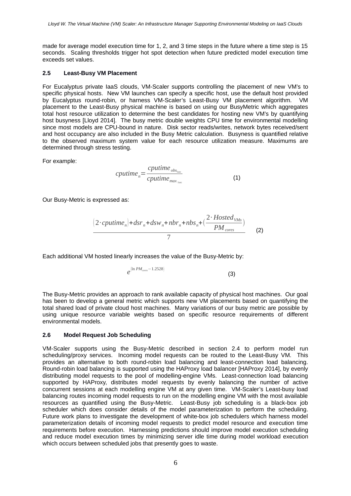made for average model execution time for 1, 2, and 3 time steps in the future where a time step is 15 seconds. Scaling thresholds trigger hot spot detection when future predicted model execution time exceeds set values.

#### **2.5 Least-Busy VM Placement**

For Eucalyptus private IaaS clouds, VM-Scaler supports controlling the placement of new VM's to specific physical hosts. New VM launches can specify a specific host, use the default host provided by Eucalyptus round-robin, or harness VM-Scaler's Least-Busy VM placement algorithm. VM placement to the Least-Busy physical machine is based on using our BusyMetric which aggregates total host resource utilization to determine the best candidates for hosting new VM's by quantifying host busyness [Lloyd 2014]. The busy metric double weights CPU time for environmental modelling since most models are CPU-bound in nature. Disk sector reads/writes, network bytes received/sent and host occupancy are also included in the Busy Metric calculation. Busyness is quantified relative to the observed maximum system value for each resource utilization measure. Maximums are determined through stress testing.

For example:

$$
cputime_{n} = \frac{cputime_{obs_{1\text{sec}}}}{cputime_{max_{1\text{sec}}}}
$$
(1)

Our Busy-Metric is expressed as:

$$
\frac{(2 \cdot \textit{cputime}_{n}) + \textit{dsr}_{n} + \textit{dsw}_{n} + \textit{nbr}_{n} + \textit{nbs}_{n} + (\frac{2 \cdot \textit{Hosted}_{\textit{VMs}}}{\textit{PM}_{\textit{cores}}})}{7}
$$
 (2)

Each additional VM hosted linearly increases the value of the Busy-Metric by:

$$
e^{(\ln PM_{cores}-1.2528)}
$$
\n(3)

The Busy-Metric provides an approach to rank available capacity of physical host machines. Our goal has been to develop a general metric which supports new VM placements based on quantifying the total shared load of private cloud host machines. Many variations of our busy metric are possible by using unique resource variable weights based on specific resource requirements of different environmental models.

#### **2.6 Model Request Job Scheduling**

VM-Scaler supports using the Busy-Metric described in section 2.4 to perform model run scheduling/proxy services. Incoming model requests can be routed to the Least-Busy VM. This provides an alternative to both round-robin load balancing and least-connection load balancing. Round-robin load balancing is supported using the HAProxy load balancer [HAProxy 2014], by evenly distributing model requests to the pool of modelling-engine VMs. Least-connection load balancing supported by HAProxy, distributes model requests by evenly balancing the number of active concurrent sessions at each modelling engine VM at any given time. VM-Scaler's Least-busy load balancing routes incoming model requests to run on the modelling engine VM with the most available resources as quantified using the Busy-Metric. Least-Busy job scheduling is a black-box job scheduler which does consider details of the model parameterization to perform the scheduling. Future work plans to investigate the development of white-box job schedulers which harness model parameterization details of incoming model requests to predict model resource and execution time requirements before execution. Harnessing predictions should improve model execution scheduling and reduce model execution times by minimizing server idle time during model workload execution which occurs between scheduled jobs that presently goes to waste.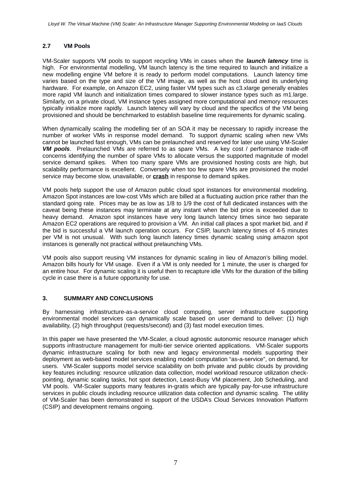#### **2.7 VM Pools**

VM-Scaler supports VM pools to support recycling VMs in cases when the *launch latency* time is high. For environmental modelling, VM launch latency is the time required to launch and initialize a new modelling engine VM before it is ready to perform model computations. Launch latency time varies based on the type and size of the VM image, as well as the host cloud and its underlying hardware. For example, on Amazon EC2, using faster VM types such as c3.xlarge generally enables more rapid VM launch and initialization times compared to slower instance types such as m1.large. Similarly, on a private cloud, VM instance types assigned more computational and memory resources typically initialize more rapidly. Launch latency will vary by cloud and the specifics of the VM being provisioned and should be benchmarked to establish baseline time requirements for dynamic scaling.

When dynamically scaling the modelling tier of an SOA it may be necessary to rapidly increase the number of worker VMs in response model demand. To support dynamic scaling when new VMs cannot be launched fast enough, VMs can be prelaunched and reserved for later use using VM-Scaler *VM pools*. Prelaunched VMs are referred to as spare VMs. A key cost / performance trade-off concerns identifying the number of spare VMs to allocate versus the supported magnitude of model service demand spikes. When too many spare VMs are provisioned hosting costs are high, but scalability performance is excellent. Conversely when too few spare VMs are provisioned the model service may become slow, unavailable, or **crash** in response to demand spikes.

VM pools help support the use of Amazon public cloud spot instances for environmental modeling. Amazon Spot instances are low-cost VMs which are billed at a fluctuating auction price rather than the standard going rate. Prices may be as low as 1/8 to 1/9 the cost of full dedicated instances with the caveat being these instances may terminate at any instant when the bid price is exceeded due to heavy demand. Amazon spot instances have very long launch latency times since two separate Amazon EC2 operations are required to provision a VM. An initial call places a spot market bid, and if the bid is successful a VM launch operation occurs. For CSIP, launch latency times of 4-5 minutes per VM is not unusual. With such long launch latency times dynamic scaling using amazon spot instances is generally not practical without prelaunching VMs.

VM pools also support reusing VM instances for dynamic scaling in lieu of Amazon's billing model. Amazon bills hourly for VM usage. Even if a VM is only needed for 1 minute, the user is charged for an entire hour. For dynamic scaling it is useful then to recapture idle VMs for the duration of the billing cycle in case there is a future opportunity for use.

#### **3. SUMMARY AND CONCLUSIONS**

By harnessing infrastructure-as-a-service cloud computing, server infrastructure supporting environmental model services can dynamically scale based on user demand to deliver: (1) high availability, (2) high throughput (requests/second) and (3) fast model execution times.

In this paper we have presented the VM-Scaler, a cloud agnostic autonomic resource manager which supports infrastructure management for multi-tier service oriented applications. VM-Scaler supports dynamic infrastructure scaling for both new and legacy environmental models supporting their deployment as web-based model services enabling model computation "as-a-service", on demand, for users. VM-Scaler supports model service scalability on both private and public clouds by providing key features including: resource utilization data collection, model workload resource utilization checkpointing, dynamic scaling tasks, hot spot detection, Least-Busy VM placement, Job Scheduling, and VM pools. VM-Scaler supports many features in-gratis which are typically pay-for-use infrastructure services in public clouds including resource utilization data collection and dynamic scaling. The utility of VM-Scaler has been demonstrated in support of the USDA's Cloud Services Innovation Platform (CSIP) and development remains ongoing.